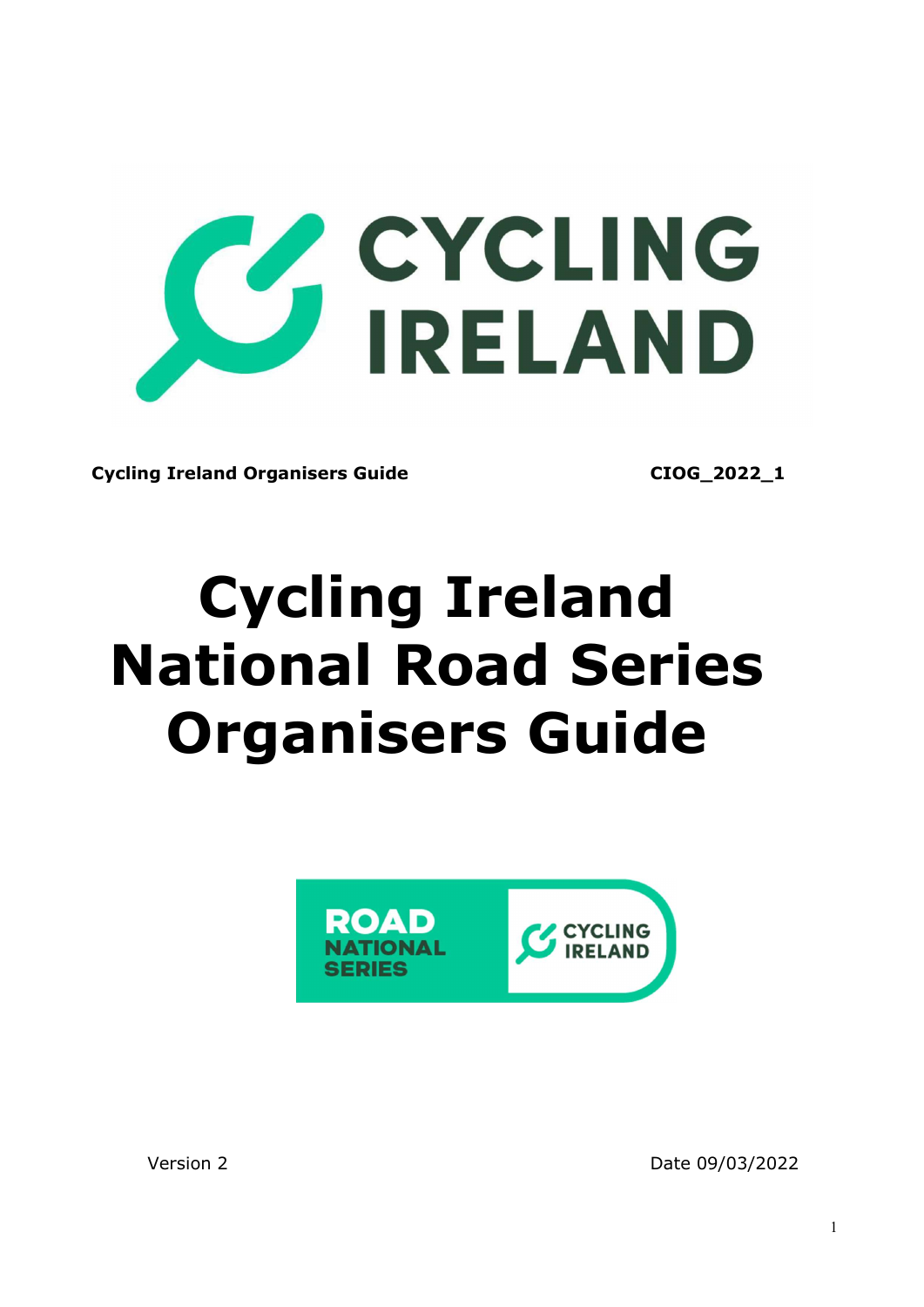

Cycling Ireland Organisers Guide CIOG 2022\_1

# Cycling Ireland National Road Series Organisers Guide



Version 2 Date 09/03/2022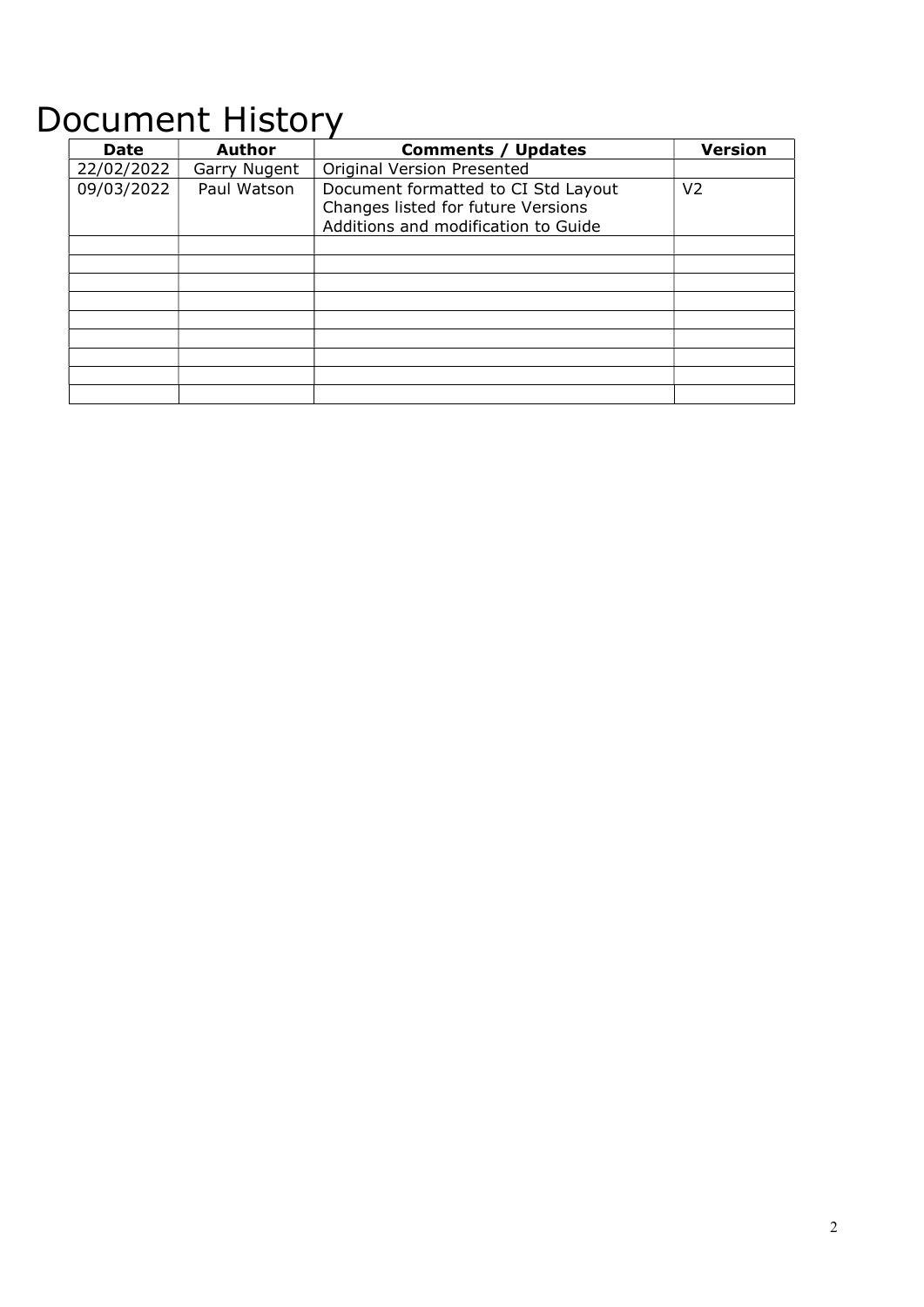## Document History

| Date       | <b>Author</b> | <b>Version</b><br><b>Comments / Updates</b>                                                                                        |  |
|------------|---------------|------------------------------------------------------------------------------------------------------------------------------------|--|
| 22/02/2022 | Garry Nugent  | <b>Original Version Presented</b>                                                                                                  |  |
| 09/03/2022 | Paul Watson   | Document formatted to CI Std Layout<br>V <sub>2</sub><br>Changes listed for future Versions<br>Additions and modification to Guide |  |
|            |               |                                                                                                                                    |  |
|            |               |                                                                                                                                    |  |
|            |               |                                                                                                                                    |  |
|            |               |                                                                                                                                    |  |
|            |               |                                                                                                                                    |  |
|            |               |                                                                                                                                    |  |
|            |               |                                                                                                                                    |  |
|            |               |                                                                                                                                    |  |
|            |               |                                                                                                                                    |  |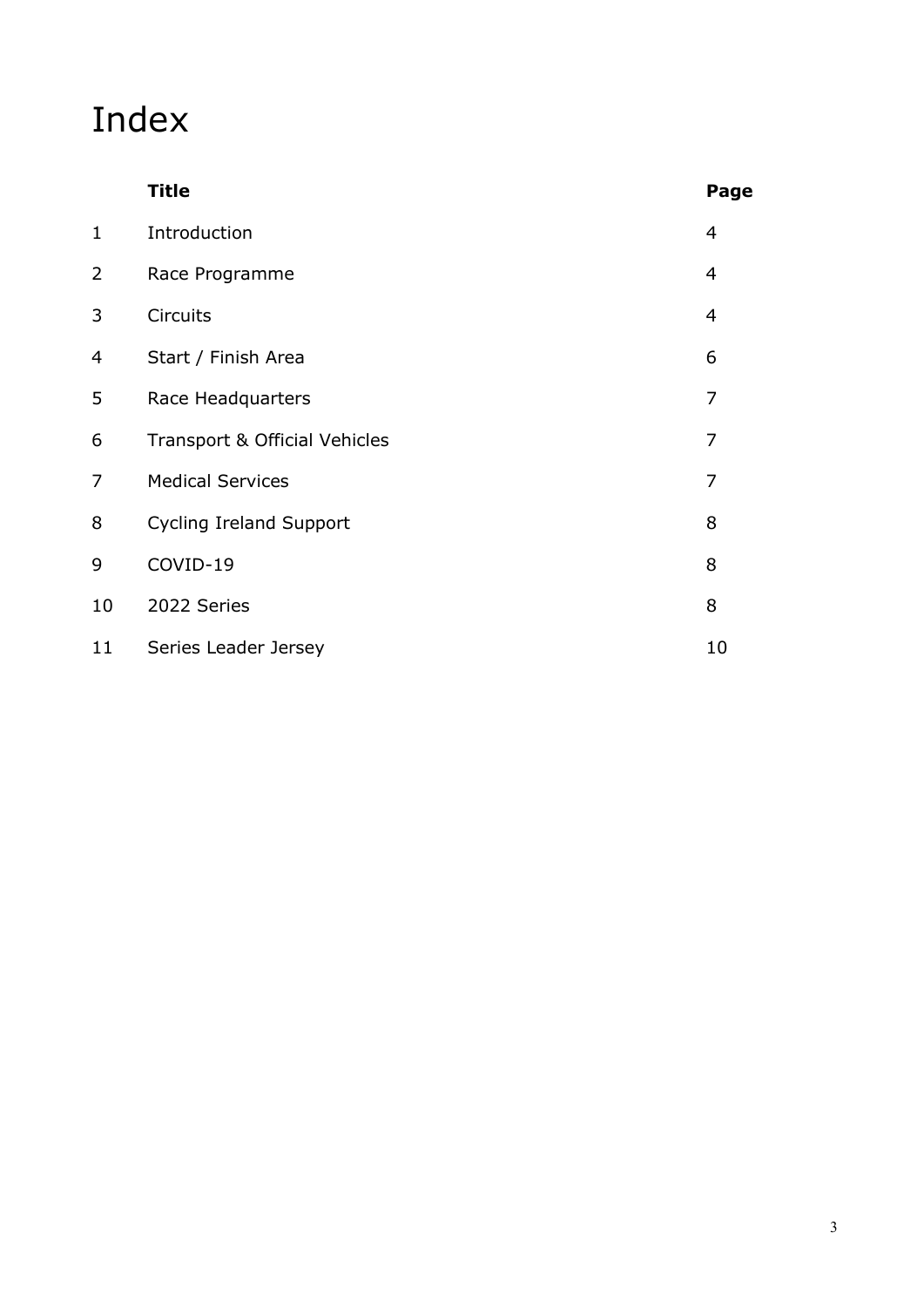## Index

|                | <b>Title</b>                   | Page           |
|----------------|--------------------------------|----------------|
| $\mathbf{1}$   | Introduction                   | $\overline{4}$ |
| $\overline{2}$ | Race Programme                 | $\overline{4}$ |
| 3              | Circuits                       | 4              |
| 4              | Start / Finish Area            | 6              |
| 5              | Race Headquarters              | $\overline{7}$ |
| 6              | Transport & Official Vehicles  | 7              |
| 7              | <b>Medical Services</b>        | $\overline{7}$ |
| 8              | <b>Cycling Ireland Support</b> | 8              |
| 9              | COVID-19                       | 8              |
| 10             | 2022 Series                    | 8              |
| 11             | Series Leader Jersey           | 10             |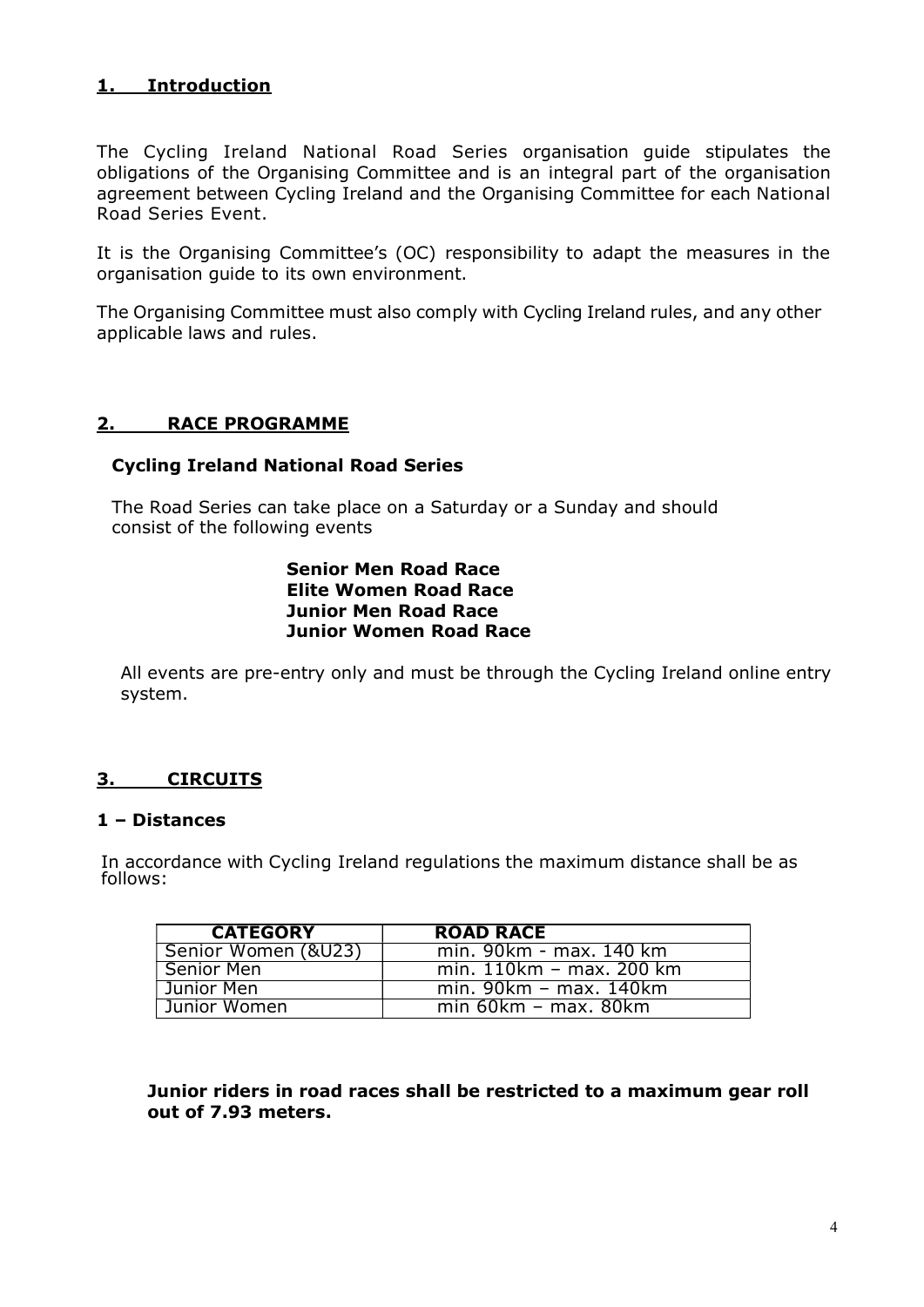#### 1. Introduction

The Cycling Ireland National Road Series organisation guide stipulates the obligations of the Organising Committee and is an integral part of the organisation agreement between Cycling Ireland and the Organising Committee for each National Road Series Event.

It is the Organising Committee's (OC) responsibility to adapt the measures in the organisation guide to its own environment.

The Organising Committee must also comply with Cycling Ireland rules, and any other applicable laws and rules.

#### 2. RACE PROGRAMME

#### Cycling Ireland National Road Series

The Road Series can take place on a Saturday or a Sunday and should consist of the following events

#### Senior Men Road Race Elite Women Road Race Junior Men Road Race Junior Women Road Race

All events are pre-entry only and must be through the Cycling Ireland online entry system.

#### 3. CIRCUITS

#### 1 – Distances

In accordance with Cycling Ireland regulations the maximum distance shall be as follows:

| <b>CATEGORY</b>     | <b>ROAD RACE</b>         |
|---------------------|--------------------------|
| Senior Women (&U23) | min. 90km - max. 140 km  |
| Senior Men          | min. 110km - max. 200 km |
| Junior Men          | min. $90km - max. 140km$ |
| Uunior Women        | $min 60km - max. 80km$   |

Junior riders in road races shall be restricted to a maximum gear roll out of 7.93 meters.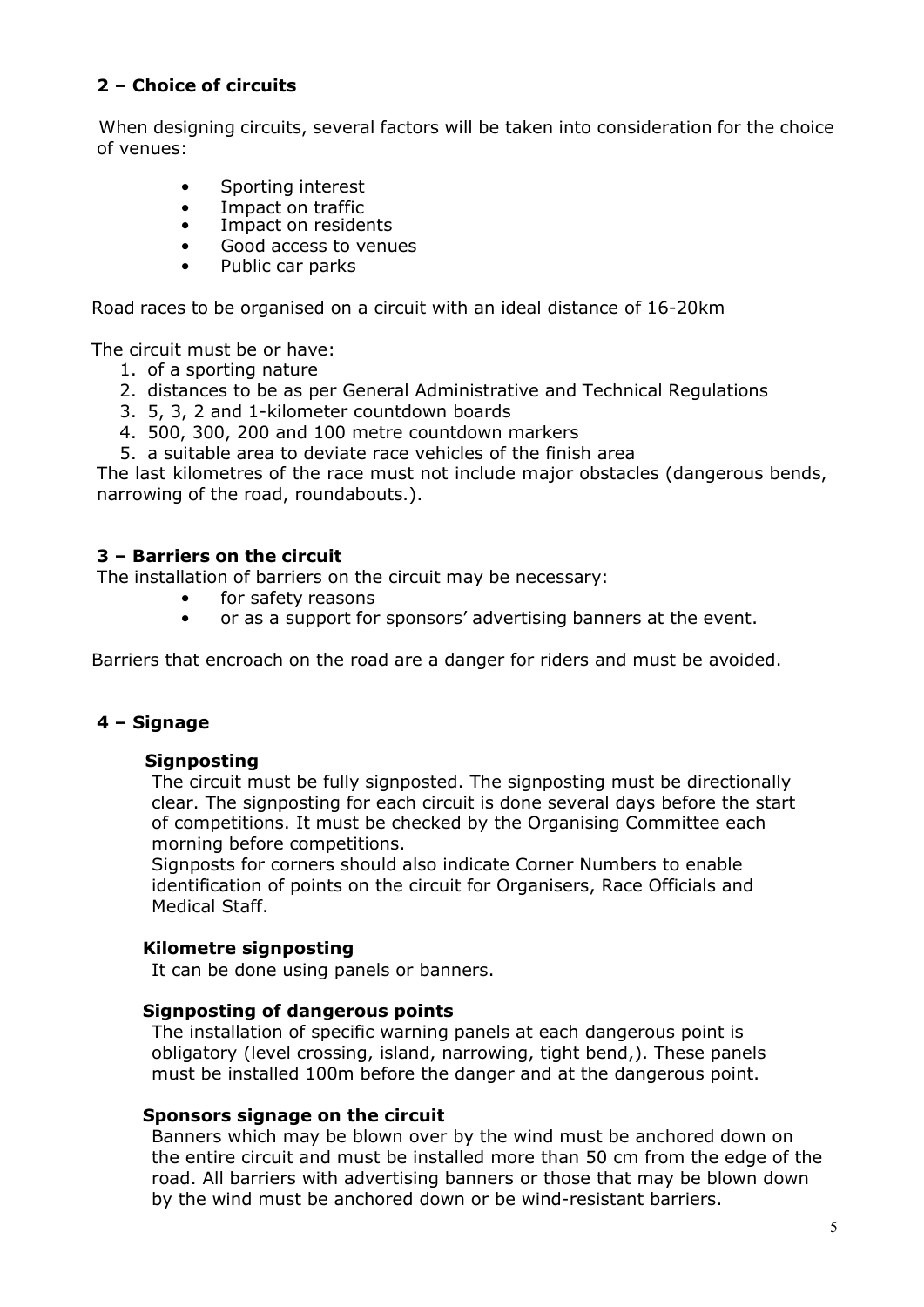#### 2 – Choice of circuits

When designing circuits, several factors will be taken into consideration for the choice of venues:

- Sporting interest
- Impact on traffic
- Impact on residents
- Good access to venues
- Public car parks

Road races to be organised on a circuit with an ideal distance of 16-20km

The circuit must be or have:

- 1. of a sporting nature
- 2. distances to be as per General Administrative and Technical Regulations
- 3. 5, 3, 2 and 1-kilometer countdown boards
- 4. 500, 300, 200 and 100 metre countdown markers
- 5. a suitable area to deviate race vehicles of the finish area

The last kilometres of the race must not include major obstacles (dangerous bends, narrowing of the road, roundabouts.).

#### 3 – Barriers on the circuit

The installation of barriers on the circuit may be necessary:

- for safety reasons
- or as a support for sponsors' advertising banners at the event.

Barriers that encroach on the road are a danger for riders and must be avoided.

#### 4 – Signage

#### Signposting

The circuit must be fully signposted. The signposting must be directionally clear. The signposting for each circuit is done several days before the start of competitions. It must be checked by the Organising Committee each morning before competitions.

Signposts for corners should also indicate Corner Numbers to enable identification of points on the circuit for Organisers, Race Officials and Medical Staff.

#### Kilometre signposting

It can be done using panels or banners.

#### Signposting of dangerous points

The installation of specific warning panels at each dangerous point is obligatory (level crossing, island, narrowing, tight bend,). These panels must be installed 100m before the danger and at the dangerous point.

#### Sponsors signage on the circuit

Banners which may be blown over by the wind must be anchored down on the entire circuit and must be installed more than 50 cm from the edge of the road. All barriers with advertising banners or those that may be blown down by the wind must be anchored down or be wind-resistant barriers.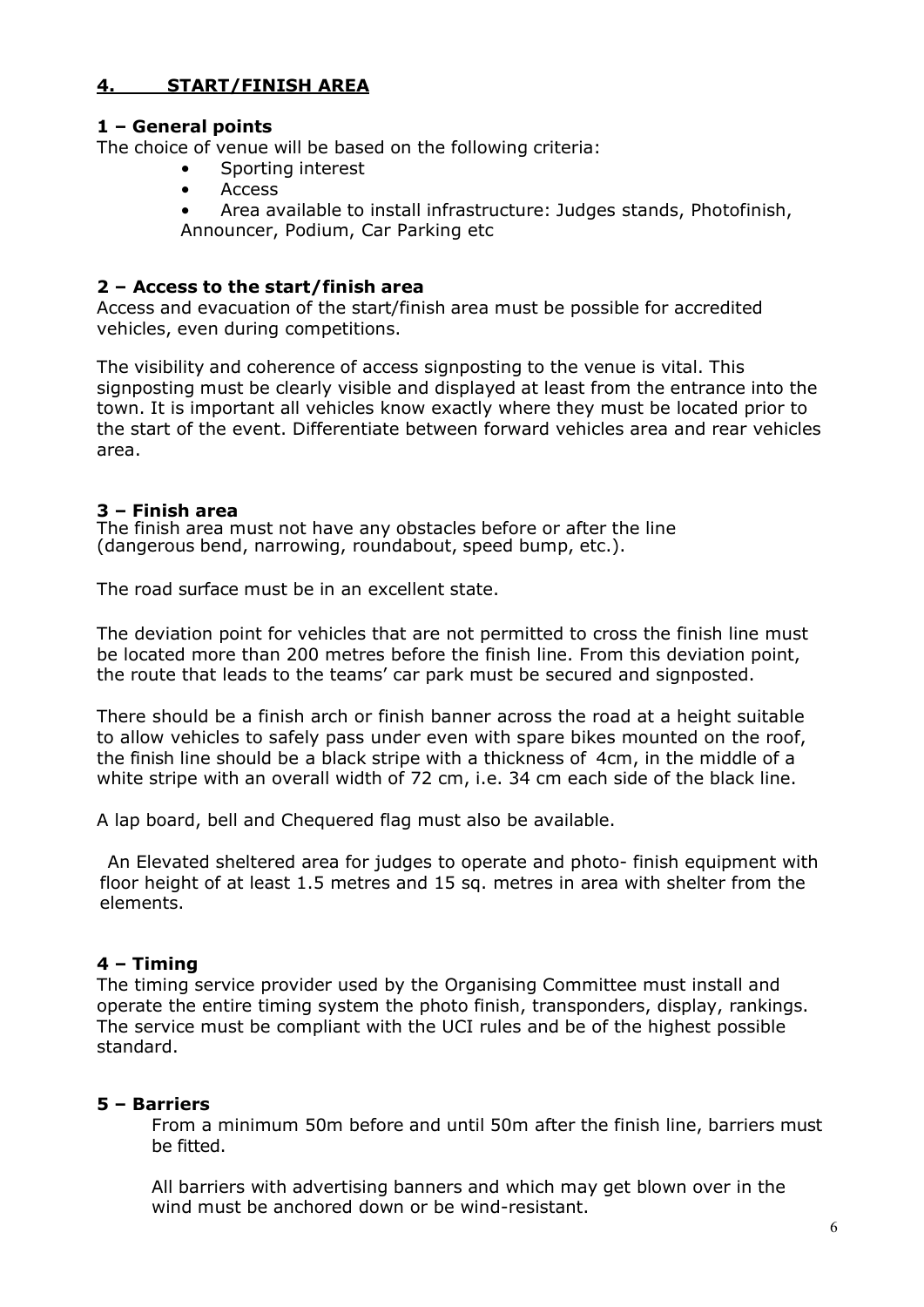#### 4. START/FINISH AREA

#### 1 – General points

The choice of venue will be based on the following criteria:

- Sporting interest
- Access
- Area available to install infrastructure: Judges stands, Photofinish, Announcer, Podium, Car Parking etc

#### 2 – Access to the start/finish area

Access and evacuation of the start/finish area must be possible for accredited vehicles, even during competitions.

The visibility and coherence of access signposting to the venue is vital. This signposting must be clearly visible and displayed at least from the entrance into the town. It is important all vehicles know exactly where they must be located prior to the start of the event. Differentiate between forward vehicles area and rear vehicles area.

#### 3 – Finish area

The finish area must not have any obstacles before or after the line (dangerous bend, narrowing, roundabout, speed bump, etc.).

The road surface must be in an excellent state.

The deviation point for vehicles that are not permitted to cross the finish line must be located more than 200 metres before the finish line. From this deviation point, the route that leads to the teams' car park must be secured and signposted.

There should be a finish arch or finish banner across the road at a height suitable to allow vehicles to safely pass under even with spare bikes mounted on the roof, the finish line should be a black stripe with a thickness of 4cm, in the middle of a white stripe with an overall width of 72 cm, i.e. 34 cm each side of the black line.

A lap board, bell and Chequered flag must also be available.

 An Elevated sheltered area for judges to operate and photo- finish equipment with floor height of at least 1.5 metres and 15 sq. metres in area with shelter from the elements.

#### 4 – Timing

The timing service provider used by the Organising Committee must install and operate the entire timing system the photo finish, transponders, display, rankings. The service must be compliant with the UCI rules and be of the highest possible standard.

#### 5 – Barriers

From a minimum 50m before and until 50m after the finish line, barriers must be fitted.

All barriers with advertising banners and which may get blown over in the wind must be anchored down or be wind-resistant.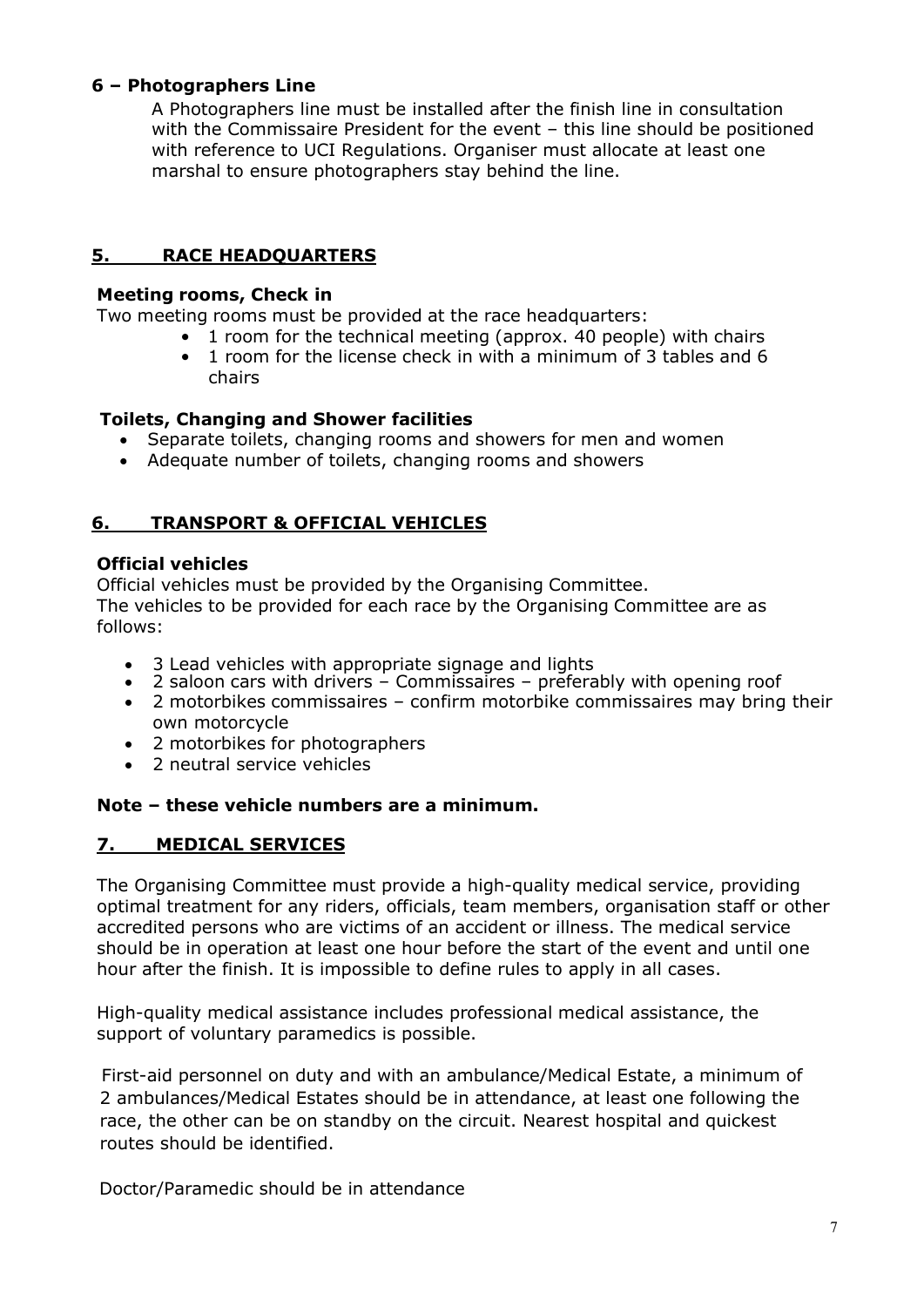#### 6 – Photographers Line

A Photographers line must be installed after the finish line in consultation with the Commissaire President for the event – this line should be positioned with reference to UCI Regulations. Organiser must allocate at least one marshal to ensure photographers stay behind the line.

#### 5. RACE HEADQUARTERS

#### Meeting rooms, Check in

Two meeting rooms must be provided at the race headquarters:

- 1 room for the technical meeting (approx. 40 people) with chairs
- 1 room for the license check in with a minimum of 3 tables and 6 chairs

#### Toilets, Changing and Shower facilities

- Separate toilets, changing rooms and showers for men and women
- Adequate number of toilets, changing rooms and showers

#### 6. TRANSPORT & OFFICIAL VEHICLES

#### Official vehicles

Official vehicles must be provided by the Organising Committee. The vehicles to be provided for each race by the Organising Committee are as follows:

- 3 Lead vehicles with appropriate signage and lights
- 2 saloon cars with drivers Commissaires preferably with opening roof
- 2 motorbikes commissaires confirm motorbike commissaires may bring their own motorcycle
- 2 motorbikes for photographers
- 2 neutral service vehicles

#### Note – these vehicle numbers are a minimum.

#### 7. MEDICAL SERVICES

The Organising Committee must provide a high-quality medical service, providing optimal treatment for any riders, officials, team members, organisation staff or other accredited persons who are victims of an accident or illness. The medical service should be in operation at least one hour before the start of the event and until one hour after the finish. It is impossible to define rules to apply in all cases.

High-quality medical assistance includes professional medical assistance, the support of voluntary paramedics is possible.

 First-aid personnel on duty and with an ambulance/Medical Estate, a minimum of 2 ambulances/Medical Estates should be in attendance, at least one following the race, the other can be on standby on the circuit. Nearest hospital and quickest routes should be identified.

Doctor/Paramedic should be in attendance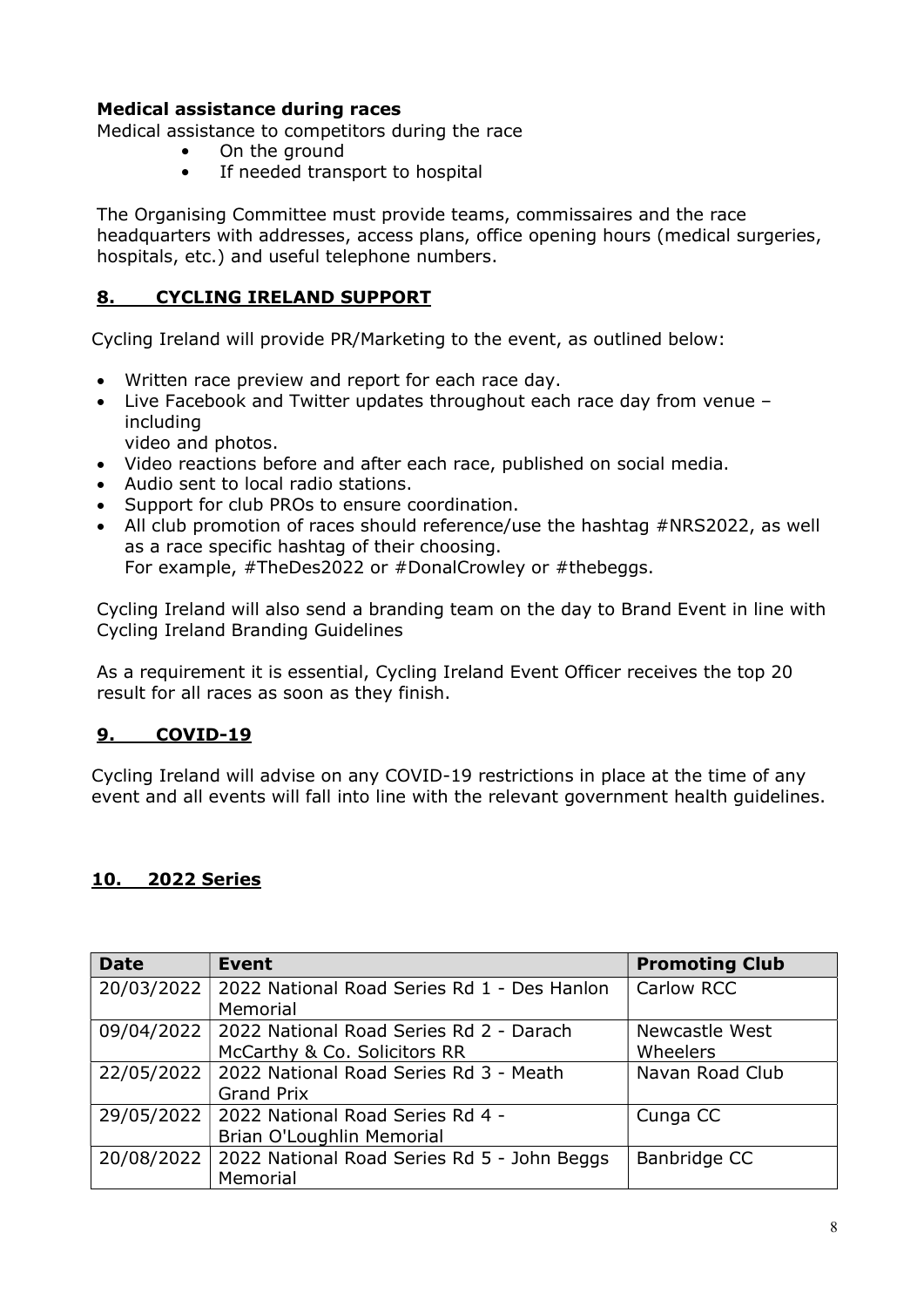#### Medical assistance during races

Medical assistance to competitors during the race

- On the ground
	- If needed transport to hospital

The Organising Committee must provide teams, commissaires and the race headquarters with addresses, access plans, office opening hours (medical surgeries, hospitals, etc.) and useful telephone numbers.

#### 8. CYCLING IRELAND SUPPORT

Cycling Ireland will provide PR/Marketing to the event, as outlined below:

- Written race preview and report for each race day.
- Live Facebook and Twitter updates throughout each race day from venue including

video and photos.

- Video reactions before and after each race, published on social media.
- Audio sent to local radio stations.
- Support for club PROs to ensure coordination.
- All club promotion of races should reference/use the hashtag #NRS2022, as well as a race specific hashtag of their choosing. For example, #TheDes2022 or #DonalCrowley or #thebeggs.

Cycling Ireland will also send a branding team on the day to Brand Event in line with Cycling Ireland Branding Guidelines

As a requirement it is essential, Cycling Ireland Event Officer receives the top 20 result for all races as soon as they finish.

### 9. COVID-19

Cycling Ireland will advise on any COVID-19 restrictions in place at the time of any event and all events will fall into line with the relevant government health guidelines.

#### 10. 2022 Series

| <b>Date</b> | <b>Event</b>                                                | <b>Promoting Club</b> |
|-------------|-------------------------------------------------------------|-----------------------|
| 20/03/2022  | 2022 National Road Series Rd 1 - Des Hanlon                 | Carlow RCC            |
|             | Memorial                                                    |                       |
| 09/04/2022  | 2022 National Road Series Rd 2 - Darach<br>Newcastle West   |                       |
|             | McCarthy & Co. Solicitors RR                                | <b>Wheelers</b>       |
| 22/05/2022  | 2022 National Road Series Rd 3 - Meath<br>Navan Road Club   |                       |
|             | <b>Grand Prix</b>                                           |                       |
| 29/05/2022  | 2022 National Road Series Rd 4 -                            | Cunga CC              |
|             | Brian O'Loughlin Memorial                                   |                       |
| 20/08/2022  | 2022 National Road Series Rd 5 - John Beggs<br>Banbridge CC |                       |
|             | Memorial                                                    |                       |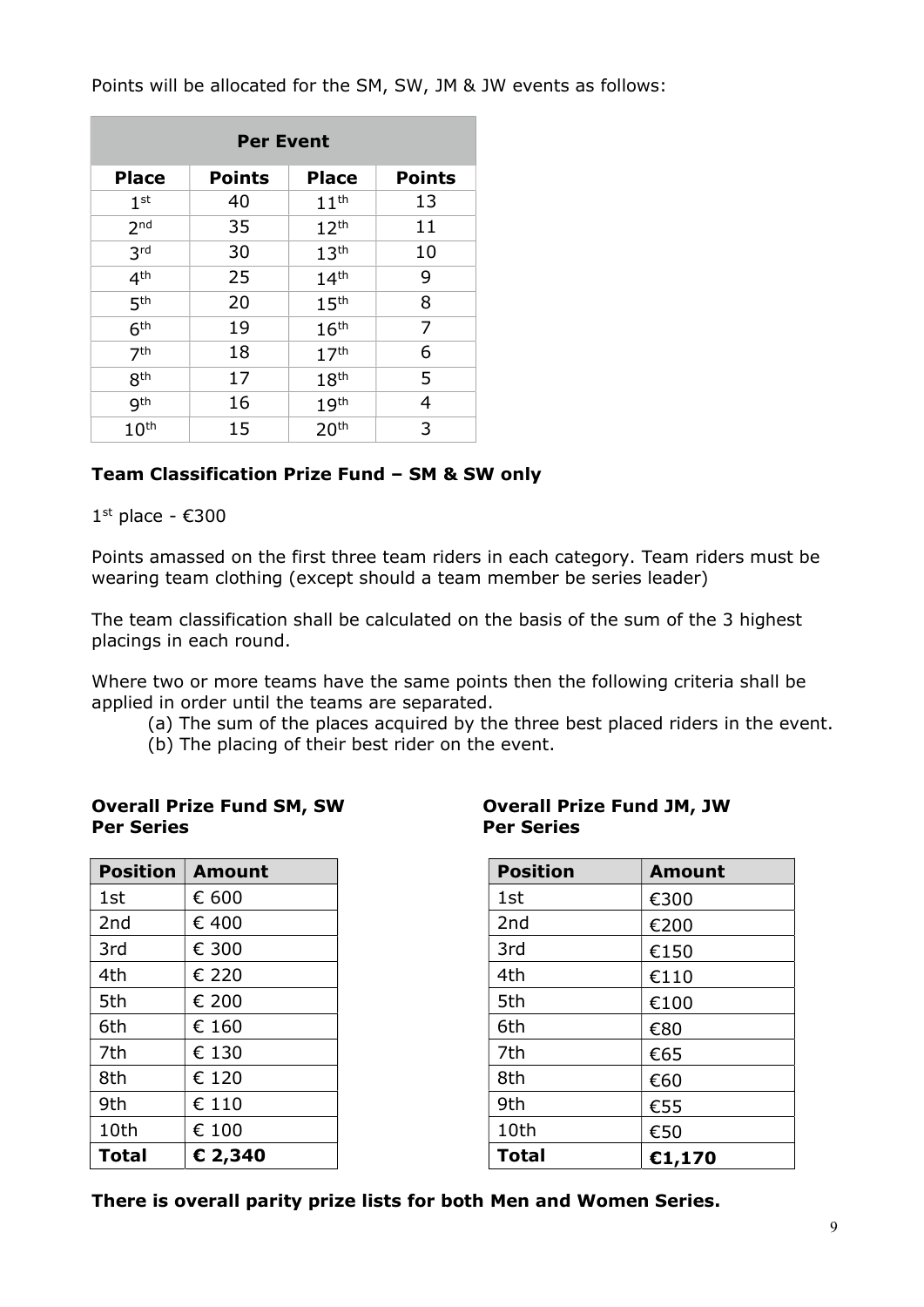Points will be allocated for the SM, SW, JM & JW events as follows:

| <b>Per Event</b>              |    |                  |               |  |
|-------------------------------|----|------------------|---------------|--|
| <b>Place</b><br><b>Points</b> |    | <b>Place</b>     | <b>Points</b> |  |
| 1 <sup>st</sup>               | 40 | 11 <sup>th</sup> | 13            |  |
| 2 <sub>nd</sub>               | 35 | 12 <sup>th</sup> | 11            |  |
| 3 <sup>rd</sup>               | 30 | 13 <sup>th</sup> | 10            |  |
| 4 <sup>th</sup>               | 25 | 14 <sup>th</sup> | 9             |  |
| 5 <sup>th</sup>               | 20 | 15 <sup>th</sup> | 8             |  |
| 6 <sup>th</sup>               | 19 | 16 <sup>th</sup> | 7             |  |
| 7 <sup>th</sup>               | 18 | 17 <sup>th</sup> | 6             |  |
| 8 <sup>th</sup>               | 17 | 18 <sup>th</sup> | 5             |  |
| gth                           | 16 | 19 <sup>th</sup> | 4             |  |
| 10 <sup>th</sup>              | 15 | 20 <sup>th</sup> | 3             |  |

#### Team Classification Prize Fund – SM & SW only

 $1<sup>st</sup>$  place -  $€300$ 

Points amassed on the first three team riders in each category. Team riders must be wearing team clothing (except should a team member be series leader)

The team classification shall be calculated on the basis of the sum of the 3 highest placings in each round.

Where two or more teams have the same points then the following criteria shall be applied in order until the teams are separated.

- (a) The sum of the places acquired by the three best placed riders in the event.
- (b) The placing of their best rider on the event.

#### Overall Prize Fund SM, SW Overall Prize Fund JM, JW Per Series Per Series

| <b>Position</b> | <b>Amount</b> | <b>Position</b> | <b>Amount</b> |
|-----------------|---------------|-----------------|---------------|
| 1st             | € 600         | 1st             | €300          |
| 2nd             | € 400         | 2 <sub>nd</sub> | €200          |
| 3rd             | € 300         | 3rd             | €150          |
| 4th             | € 220         | 4th             | €110          |
| 5th             | € 200         | 5th             | €100          |
| 6th             | € 160         | 6th             | €80           |
| 7th             | € 130         | 7th             | €65           |
| 8th             | € 120         | 8th             | €60           |
| 9th             | € 110         | 9th             | €55           |
| 10th            | € 100         | 10th            | €50           |
| <b>Total</b>    | € 2,340       | <b>Total</b>    | €1,170        |

| <b>Position</b> | <b>Amount</b> |
|-----------------|---------------|
| 1st             | €300          |
| 2 <sub>nd</sub> | €200          |
| 3rd             | €150          |
| 4th             | €110          |
| 5th             | €100          |
| 6th             | €80           |
| 7th             | €65           |
| 8th             | €60           |
| 9th             | €55           |
| 10th            | €50           |
| <b>Total</b>    | €1,170        |

There is overall parity prize lists for both Men and Women Series.